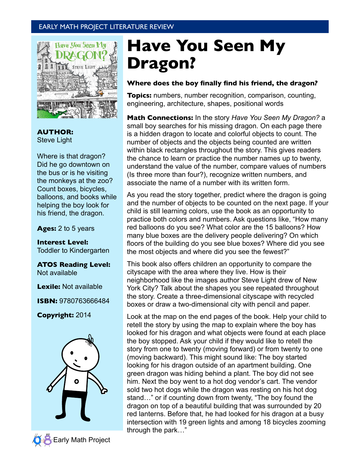# EARLY MATH PROJECT LITERATURE REVIEW



**AUTHOR:** Steve Light

Where is that dragon? Did he go downtown on the bus or is he visiting the monkeys at the zoo? Count boxes, bicycles, balloons, and books while helping the boy look for his friend, the dragon.

**Ages:** 2 to 5 years

**Interest Level:** Toddler to Kindergarten

**ATOS Reading Level:** Not available

**Lexile:** Not available

**ISBN:** 9780763666484

**Copyright:** 2014



# **Have You Seen My Dragon?**

#### **Where does the boy finally find his friend, the dragon***?*

**Topics:** numbers, number recognition, comparison, counting, engineering, architecture, shapes, positional words

**Math Connections:** In the story *Have You Seen My Dragon?* a small boy searches for his missing dragon. On each page there is a hidden dragon to locate and colorful objects to count. The number of objects and the objects being counted are written within black rectangles throughout the story. This gives readers the chance to learn or practice the number names up to twenty, understand the value of the number, compare values of numbers (Is three more than four?), recognize written numbers, and associate the name of a number with its written form.

As you read the story together, predict where the dragon is going and the number of objects to be counted on the next page. If your child is still learning colors, use the book as an opportunity to practice both colors and numbers. Ask questions like, "How many red balloons do you see? What color are the 15 balloons? How many blue boxes are the delivery people delivering? On which floors of the building do you see blue boxes? Where did you see the most objects and where did you see the fewest?"

This book also offers children an opportunity to compare the cityscape with the area where they live. How is their neighborhood like the images author Steve Light drew of New York City? Talk about the shapes you see repeated throughout the story. Create a three-dimensional cityscape with recycled boxes or draw a two-dimensional city with pencil and paper.

Look at the map on the end pages of the book. Help your child to retell the story by using the map to explain where the boy has looked for his dragon and what objects were found at each place the boy stopped. Ask your child if they would like to retell the story from one to twenty (moving forward) or from twenty to one (moving backward). This might sound like: The boy started looking for his dragon outside of an apartment building. One green dragon was hiding behind a plant. The boy did not see him. Next the boy went to a hot dog vendor's cart. The vendor sold two hot dogs while the dragon was resting on his hot dog stand…" or if counting down from twenty, "The boy found the dragon on top of a beautiful building that was surrounded by 20 red lanterns. Before that, he had looked for his dragon at a busy intersection with 19 green lights and among 18 bicycles zooming through the park…"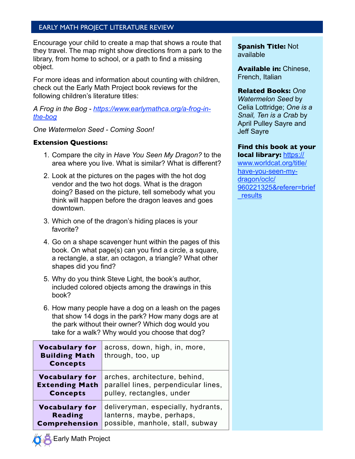# EARLY MATH PROJECT LITERATURE REVIEW

Encourage your child to create a map that shows a route that they travel. The map might show directions from a park to the library, from home to school, or a path to find a missing object.

For more ideas and information about counting with children, check out the Early Math Project book reviews for the following children's literature titles:

*A Frog in the Bog - [https://www.earlymathca.org/a-frog-in](https://www.earlymathca.org/a-frog-in-the-bog)[the-bog](https://www.earlymathca.org/a-frog-in-the-bog)*

#### *One Watermelon Seed - Coming Soon!*

#### **Extension Questions:**

- 1. Compare the city in *Have You Seen My Dragon?* to the area where you live. What is similar? What is different?
- 2. Look at the pictures on the pages with the hot dog vendor and the two hot dogs. What is the dragon doing? Based on the picture, tell somebody what you think will happen before the dragon leaves and goes downtown.
- 3. Which one of the dragon's hiding places is your favorite?
- 4. Go on a shape scavenger hunt within the pages of this book. On what page(s) can you find a circle, a square, a rectangle, a star, an octagon, a triangle? What other shapes did you find?
- 5. Why do you think Steve Light, the book's author, included colored objects among the drawings in this book?
- 6. How many people have a dog on a leash on the pages that show 14 dogs in the park? How many dogs are at the park without their owner? Which dog would you take for a walk? Why would you choose that dog?

| <b>Vocabulary for</b><br><b>Building Math</b><br><b>Concepts</b> | across, down, high, in, more,<br>through, too, up |
|------------------------------------------------------------------|---------------------------------------------------|
| <b>Vocabulary for</b>                                            | arches, architecture, behind,                     |
| <b>Extending Math</b>                                            | parallel lines, perpendicular lines,              |
| <b>Concepts</b>                                                  | pulley, rectangles, under                         |
| <b>Vocabulary for</b>                                            | deliveryman, especially, hydrants,                |
| <b>Reading</b>                                                   | lanterns, maybe, perhaps,                         |
| <b>Comprehension</b>                                             | possible, manhole, stall, subway                  |

**Spanish Title:** Not available

**Available in:** Chinese, French, Italian

#### **Related Books:** *One*

*Watermelon Seed* by Celia Lottridge; *One is a Snail, Ten is a Crab* by April Pulley Sayre and Jeff Sayre

# **Find this book at your**

**local library:** https:// www.worldcat.org/title/ have-you-seen-mydragon/oclc/ 960221325&referer=brief \_results